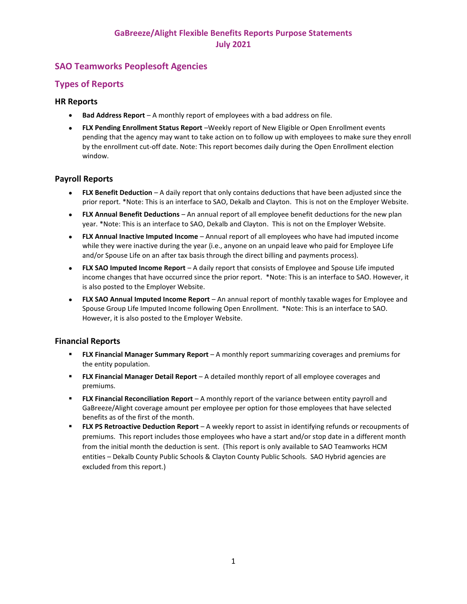## **SAO Teamworks Peoplesoft Agencies**

## **Types of Reports**

### **HR Reports**

- **Bad Address Report** A monthly report of employees with a bad address on file.
- **FLX Pending Enrollment Status Report** –Weekly report of New Eligible or Open Enrollment events pending that the agency may want to take action on to follow up with employees to make sure they enroll by the enrollment cut-off date. Note: This report becomes daily during the Open Enrollment election window.

### **Payroll Reports**

- **FLX Benefit Deduction** A daily report that only contains deductions that have been adjusted since the prior report. \*Note: This is an interface to SAO, Dekalb and Clayton. This is not on the Employer Website.
- **FLX Annual Benefit Deductions** An annual report of all employee benefit deductions for the new plan year. \*Note: This is an interface to SAO, Dekalb and Clayton. This is not on the Employer Website.
- **FLX Annual Inactive Imputed Income** Annual report of all employees who have had imputed income while they were inactive during the year (i.e., anyone on an unpaid leave who paid for Employee Life and/or Spouse Life on an after tax basis through the direct billing and payments process).
- **FLX SAO Imputed Income Report** A daily report that consists of Employee and Spouse Life imputed income changes that have occurred since the prior report. \*Note: This is an interface to SAO. However, it is also posted to the Employer Website.
- **FLX SAO Annual Imputed Income Report** An annual report of monthly taxable wages for Employee and Spouse Group Life Imputed Income following Open Enrollment. \*Note: This is an interface to SAO. However, it is also posted to the Employer Website.

### **Financial Reports**

- **FLX Financial Manager Summary Report** A monthly report summarizing coverages and premiums for the entity population.
- **FLX Financial Manager Detail Report** A detailed monthly report of all employee coverages and premiums.
- **FLX Financial Reconciliation Report** A monthly report of the variance between entity payroll and GaBreeze/Alight coverage amount per employee per option for those employees that have selected benefits as of the first of the month.
- **FLX PS Retroactive Deduction Report** A weekly report to assist in identifying refunds or recoupments of premiums. This report includes those employees who have a start and/or stop date in a different month from the initial month the deduction is sent. (This report is only available to SAO Teamworks HCM entities – Dekalb County Public Schools & Clayton County Public Schools. SAO Hybrid agencies are excluded from this report.)